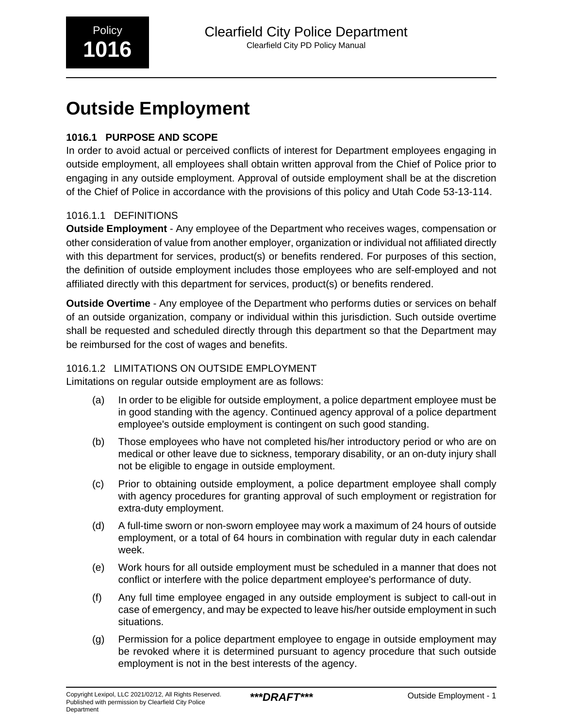# **Outside Employment**

# **1016.1 PURPOSE AND SCOPE**

In order to avoid actual or perceived conflicts of interest for Department employees engaging in outside employment, all employees shall obtain written approval from the Chief of Police prior to engaging in any outside employment. Approval of outside employment shall be at the discretion of the Chief of Police in accordance with the provisions of this policy and Utah Code 53-13-114.

## 1016.1.1 DEFINITIONS

**Outside Employment** - Any employee of the Department who receives wages, compensation or other consideration of value from another employer, organization or individual not affiliated directly with this department for services, product(s) or benefits rendered. For purposes of this section, the definition of outside employment includes those employees who are self-employed and not affiliated directly with this department for services, product(s) or benefits rendered.

**Outside Overtime** - Any employee of the Department who performs duties or services on behalf of an outside organization, company or individual within this jurisdiction. Such outside overtime shall be requested and scheduled directly through this department so that the Department may be reimbursed for the cost of wages and benefits.

# 1016.1.2 LIMITATIONS ON OUTSIDE EMPLOYMENT

Limitations on regular outside employment are as follows:

- (a) In order to be eligible for outside employment, a police department employee must be in good standing with the agency. Continued agency approval of a police department employee's outside employment is contingent on such good standing.
- (b) Those employees who have not completed his/her introductory period or who are on medical or other leave due to sickness, temporary disability, or an on-duty injury shall not be eligible to engage in outside employment.
- (c) Prior to obtaining outside employment, a police department employee shall comply with agency procedures for granting approval of such employment or registration for extra-duty employment.
- (d) A full-time sworn or non-sworn employee may work a maximum of 24 hours of outside employment, or a total of 64 hours in combination with regular duty in each calendar week.
- (e) Work hours for all outside employment must be scheduled in a manner that does not conflict or interfere with the police department employee's performance of duty.
- (f) Any full time employee engaged in any outside employment is subject to call-out in case of emergency, and may be expected to leave his/her outside employment in such situations.
- (g) Permission for a police department employee to engage in outside employment may be revoked where it is determined pursuant to agency procedure that such outside employment is not in the best interests of the agency.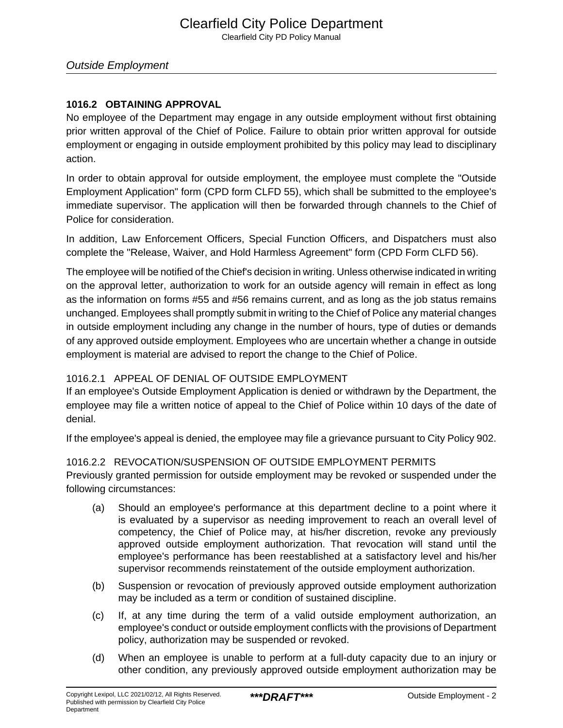## **1016.2 OBTAINING APPROVAL**

No employee of the Department may engage in any outside employment without first obtaining prior written approval of the Chief of Police. Failure to obtain prior written approval for outside employment or engaging in outside employment prohibited by this policy may lead to disciplinary action.

In order to obtain approval for outside employment, the employee must complete the "Outside Employment Application" form (CPD form CLFD 55), which shall be submitted to the employee's immediate supervisor. The application will then be forwarded through channels to the Chief of Police for consideration.

In addition, Law Enforcement Officers, Special Function Officers, and Dispatchers must also complete the "Release, Waiver, and Hold Harmless Agreement" form (CPD Form CLFD 56).

The employee will be notified of the Chief's decision in writing. Unless otherwise indicated in writing on the approval letter, authorization to work for an outside agency will remain in effect as long as the information on forms #55 and #56 remains current, and as long as the job status remains unchanged. Employees shall promptly submit in writing to the Chief of Police any material changes in outside employment including any change in the number of hours, type of duties or demands of any approved outside employment. Employees who are uncertain whether a change in outside employment is material are advised to report the change to the Chief of Police.

## 1016.2.1 APPEAL OF DENIAL OF OUTSIDE EMPLOYMENT

If an employee's Outside Employment Application is denied or withdrawn by the Department, the employee may file a written notice of appeal to the Chief of Police within 10 days of the date of denial.

If the employee's appeal is denied, the employee may file a grievance pursuant to City Policy 902.

## 1016.2.2 REVOCATION/SUSPENSION OF OUTSIDE EMPLOYMENT PERMITS

Previously granted permission for outside employment may be revoked or suspended under the following circumstances:

- (a) Should an employee's performance at this department decline to a point where it is evaluated by a supervisor as needing improvement to reach an overall level of competency, the Chief of Police may, at his/her discretion, revoke any previously approved outside employment authorization. That revocation will stand until the employee's performance has been reestablished at a satisfactory level and his/her supervisor recommends reinstatement of the outside employment authorization.
- (b) Suspension or revocation of previously approved outside employment authorization may be included as a term or condition of sustained discipline.
- (c) If, at any time during the term of a valid outside employment authorization, an employee's conduct or outside employment conflicts with the provisions of Department policy, authorization may be suspended or revoked.
- (d) When an employee is unable to perform at a full-duty capacity due to an injury or other condition, any previously approved outside employment authorization may be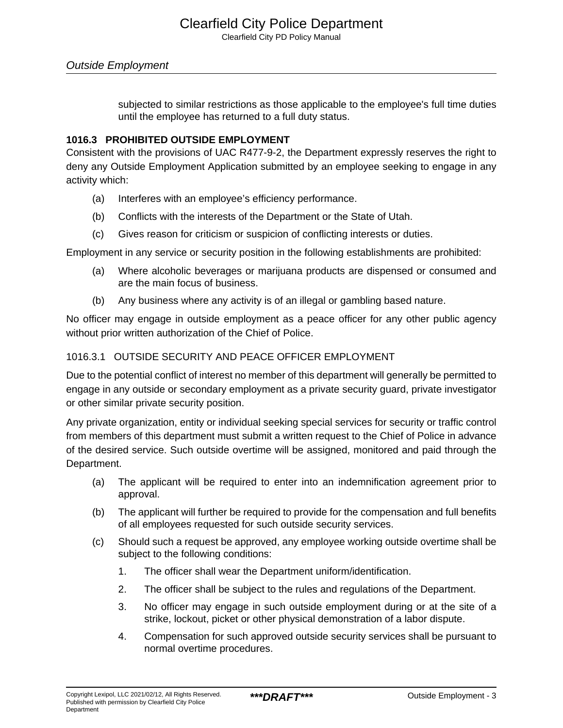# Outside Employment

subjected to similar restrictions as those applicable to the employee's full time duties until the employee has returned to a full duty status.

#### **1016.3 PROHIBITED OUTSIDE EMPLOYMENT**

Consistent with the provisions of UAC R477-9-2, the Department expressly reserves the right to deny any Outside Employment Application submitted by an employee seeking to engage in any activity which:

- (a) Interferes with an employee's efficiency performance.
- (b) Conflicts with the interests of the Department or the State of Utah.
- (c) Gives reason for criticism or suspicion of conflicting interests or duties.

Employment in any service or security position in the following establishments are prohibited:

- (a) Where alcoholic beverages or marijuana products are dispensed or consumed and are the main focus of business.
- (b) Any business where any activity is of an illegal or gambling based nature.

No officer may engage in outside employment as a peace officer for any other public agency without prior written authorization of the Chief of Police.

#### 1016.3.1 OUTSIDE SECURITY AND PEACE OFFICER EMPLOYMENT

Due to the potential conflict of interest no member of this department will generally be permitted to engage in any outside or secondary employment as a private security guard, private investigator or other similar private security position.

Any private organization, entity or individual seeking special services for security or traffic control from members of this department must submit a written request to the Chief of Police in advance of the desired service. Such outside overtime will be assigned, monitored and paid through the Department.

- (a) The applicant will be required to enter into an indemnification agreement prior to approval.
- (b) The applicant will further be required to provide for the compensation and full benefits of all employees requested for such outside security services.
- (c) Should such a request be approved, any employee working outside overtime shall be subject to the following conditions:
	- 1. The officer shall wear the Department uniform/identification.
	- 2. The officer shall be subject to the rules and regulations of the Department.
	- 3. No officer may engage in such outside employment during or at the site of a strike, lockout, picket or other physical demonstration of a labor dispute.
	- 4. Compensation for such approved outside security services shall be pursuant to normal overtime procedures.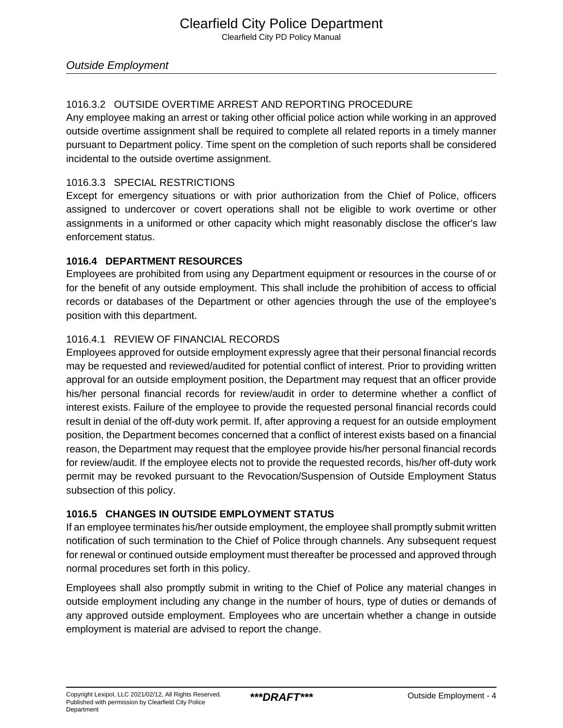# 1016.3.2 OUTSIDE OVERTIME ARREST AND REPORTING PROCEDURE

Any employee making an arrest or taking other official police action while working in an approved outside overtime assignment shall be required to complete all related reports in a timely manner pursuant to Department policy. Time spent on the completion of such reports shall be considered incidental to the outside overtime assignment.

## 1016.3.3 SPECIAL RESTRICTIONS

Except for emergency situations or with prior authorization from the Chief of Police, officers assigned to undercover or covert operations shall not be eligible to work overtime or other assignments in a uniformed or other capacity which might reasonably disclose the officer's law enforcement status.

## **1016.4 DEPARTMENT RESOURCES**

Employees are prohibited from using any Department equipment or resources in the course of or for the benefit of any outside employment. This shall include the prohibition of access to official records or databases of the Department or other agencies through the use of the employee's position with this department.

## 1016.4.1 REVIEW OF FINANCIAL RECORDS

Employees approved for outside employment expressly agree that their personal financial records may be requested and reviewed/audited for potential conflict of interest. Prior to providing written approval for an outside employment position, the Department may request that an officer provide his/her personal financial records for review/audit in order to determine whether a conflict of interest exists. Failure of the employee to provide the requested personal financial records could result in denial of the off-duty work permit. If, after approving a request for an outside employment position, the Department becomes concerned that a conflict of interest exists based on a financial reason, the Department may request that the employee provide his/her personal financial records for review/audit. If the employee elects not to provide the requested records, his/her off-duty work permit may be revoked pursuant to the Revocation/Suspension of Outside Employment Status subsection of this policy.

## **1016.5 CHANGES IN OUTSIDE EMPLOYMENT STATUS**

If an employee terminates his/her outside employment, the employee shall promptly submit written notification of such termination to the Chief of Police through channels. Any subsequent request for renewal or continued outside employment must thereafter be processed and approved through normal procedures set forth in this policy.

Employees shall also promptly submit in writing to the Chief of Police any material changes in outside employment including any change in the number of hours, type of duties or demands of any approved outside employment. Employees who are uncertain whether a change in outside employment is material are advised to report the change.